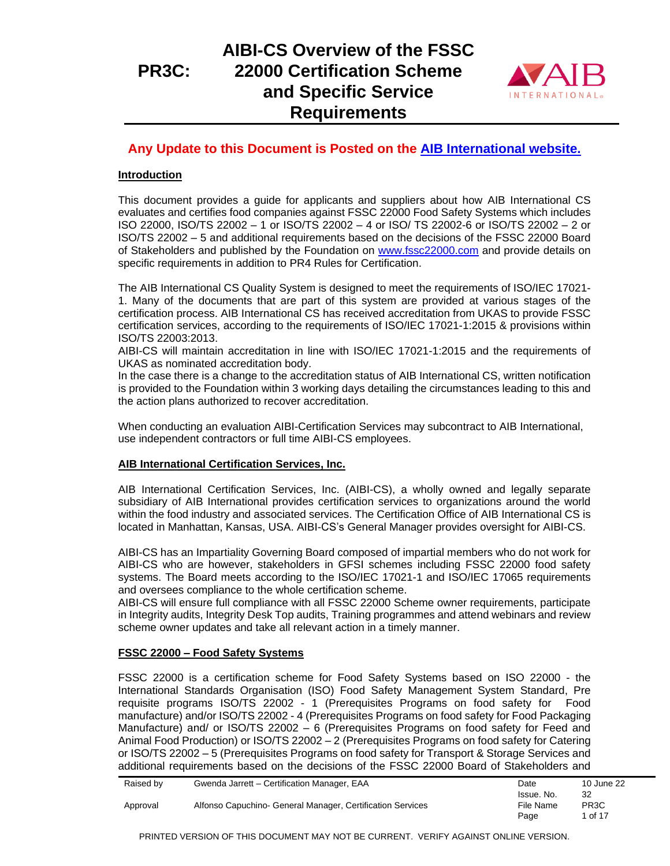

## **Any Update to this Document is Posted on the [AIB International website.](https://www.aibinternational.com/wp-content/uploads/2021/10/PR3C-FSSC-22000-1.pdf)**

### **Introduction**

This document provides a guide for applicants and suppliers about how AIB International CS evaluates and certifies food companies against FSSC 22000 Food Safety Systems which includes ISO 22000, ISO/TS 22002 – 1 or ISO/TS 22002 – 4 or ISO/ TS 22002-6 or ISO/TS 22002 – 2 or ISO/TS 22002 – 5 and additional requirements based on the decisions of the FSSC 22000 Board of Stakeholders and published by the Foundation on [www.fssc22000.com](http://www.fssc22000.com/) and provide details on specific requirements in addition to PR4 Rules for Certification.

The AIB International CS Quality System is designed to meet the requirements of ISO/IEC 17021- 1. Many of the documents that are part of this system are provided at various stages of the certification process. AIB International CS has received accreditation from UKAS to provide FSSC certification services, according to the requirements of ISO/IEC 17021-1:2015 & provisions within ISO/TS 22003:2013.

AIBI-CS will maintain accreditation in line with ISO/IEC 17021-1:2015 and the requirements of UKAS as nominated accreditation body.

In the case there is a change to the accreditation status of AIB International CS, written notification is provided to the Foundation within 3 working days detailing the circumstances leading to this and the action plans authorized to recover accreditation.

When conducting an evaluation AIBI-Certification Services may subcontract to AIB International, use independent contractors or full time AIBI-CS employees.

#### **AIB International Certification Services, Inc.**

AIB International Certification Services, Inc. (AIBI-CS), a wholly owned and legally separate subsidiary of AIB International provides certification services to organizations around the world within the food industry and associated services. The Certification Office of AIB International CS is located in Manhattan, Kansas, USA. AIBI-CS's General Manager provides oversight for AIBI-CS.

AIBI-CS has an Impartiality Governing Board composed of impartial members who do not work for AIBI-CS who are however, stakeholders in GFSI schemes including FSSC 22000 food safety systems. The Board meets according to the ISO/IEC 17021-1 and ISO/IEC 17065 requirements and oversees compliance to the whole certification scheme.

AIBI-CS will ensure full compliance with all FSSC 22000 Scheme owner requirements, participate in Integrity audits, Integrity Desk Top audits, Training programmes and attend webinars and review scheme owner updates and take all relevant action in a timely manner.

#### **FSSC 22000 – Food Safety Systems**

FSSC 22000 is a certification scheme for Food Safety Systems based on ISO 22000 - the International Standards Organisation (ISO) Food Safety Management System Standard, Pre requisite programs ISO/TS 22002 - 1 (Prerequisites Programs on food safety for Food manufacture) and/or ISO/TS 22002 - 4 (Prerequisites Programs on food safety for Food Packaging Manufacture) and/ or ISO/TS 22002 – 6 (Prerequisites Programs on food safety for Feed and Animal Food Production) or ISO/TS 22002 – 2 (Prerequisites Programs on food safety for Catering or ISO/TS 22002 – 5 (Prerequisites Programs on food safety for Transport & Storage Services and additional requirements based on the decisions of the FSSC 22000 Board of Stakeholders and

| Raised by | Gwenda Jarrett - Certification Manager, EAA                | Date       | 10 June 22        |
|-----------|------------------------------------------------------------|------------|-------------------|
|           |                                                            | Issue. No. | 32                |
| Approval  | Alfonso Capuchino- General Manager, Certification Services | File Name  | PR <sub>3</sub> C |
|           |                                                            | Page       | 1 of 17           |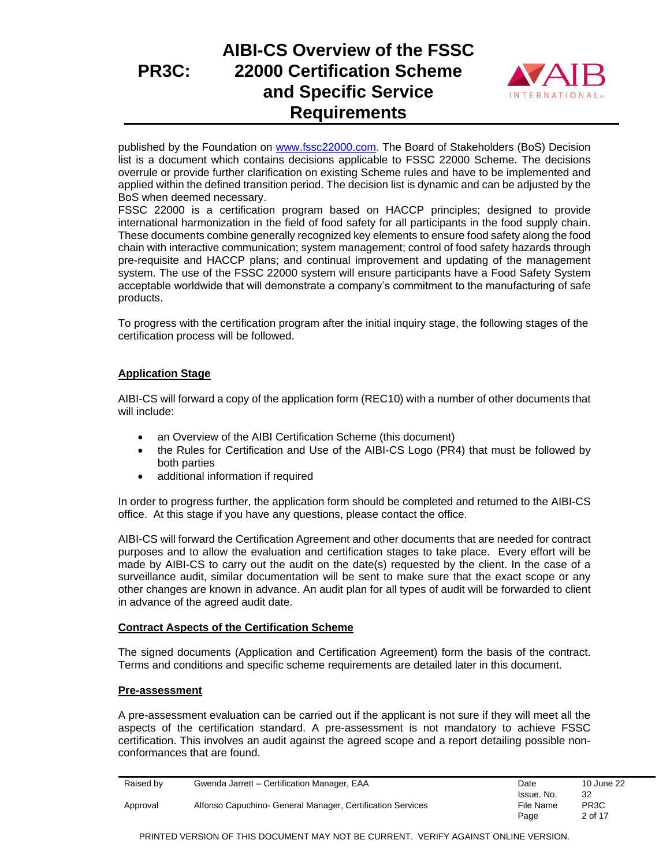

published by the Foundation on [www.fssc22000.com.](http://www.fssc22000.com/) The Board of Stakeholders (BoS) Decision list is a document which contains decisions applicable to FSSC 22000 Scheme. The decisions overrule or provide further clarification on existing Scheme rules and have to be implemented and applied within the defined transition period. The decision list is dynamic and can be adjusted by the BoS when deemed necessary.

FSSC 22000 is a certification program based on HACCP principles; designed to provide international harmonization in the field of food safety for all participants in the food supply chain. These documents combine generally recognized key elements to ensure food safety along the food chain with interactive communication; system management; control of food safety hazards through pre-requisite and HACCP plans; and continual improvement and updating of the management system. The use of the FSSC 22000 system will ensure participants have a Food Safety System acceptable worldwide that will demonstrate a company's commitment to the manufacturing of safe products.

To progress with the certification program after the initial inquiry stage, the following stages of the certification process will be followed.

#### **Application Stage**

AIBI-CS will forward a copy of the application form (REC10) with a number of other documents that will include:

- an Overview of the AIBI Certification Scheme (this document)
- the Rules for Certification and Use of the AIBI-CS Logo (PR4) that must be followed by both parties
- additional information if required

In order to progress further, the application form should be completed and returned to the AIBI-CS office. At this stage if you have any questions, please contact the office.

AIBI-CS will forward the Certification Agreement and other documents that are needed for contract purposes and to allow the evaluation and certification stages to take place. Every effort will be made by AIBI-CS to carry out the audit on the date(s) requested by the client. In the case of a surveillance audit, similar documentation will be sent to make sure that the exact scope or any other changes are known in advance. An audit plan for all types of audit will be forwarded to client in advance of the agreed audit date.

#### **Contract Aspects of the Certification Scheme**

The signed documents (Application and Certification Agreement) form the basis of the contract. Terms and conditions and specific scheme requirements are detailed later in this document.

#### **Pre-assessment**

A pre-assessment evaluation can be carried out if the applicant is not sure if they will meet all the aspects of the certification standard. A pre-assessment is not mandatory to achieve FSSC certification. This involves an audit against the agreed scope and a report detailing possible nonconformances that are found.

|          | Raised by | Gwenda Jarrett - Certification Manager, EAA                | Date       | 10 June 22        |
|----------|-----------|------------------------------------------------------------|------------|-------------------|
|          |           |                                                            | Issue. No. | 32                |
| Approval |           | Alfonso Capuchino- General Manager, Certification Services | File Name  | PR <sub>3</sub> C |
|          |           |                                                            | Page       | 2 of 17           |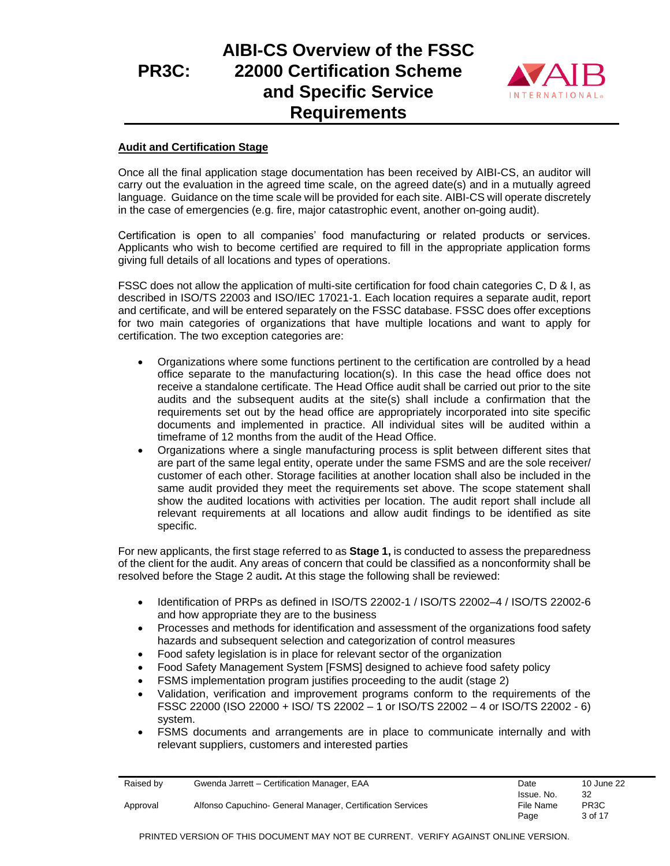## **PR3C: AIBI-CS Overview of the FSSC 22000 Certification Scheme and Specific Service Requirements**



#### **Audit and Certification Stage**

Once all the final application stage documentation has been received by AIBI-CS, an auditor will carry out the evaluation in the agreed time scale, on the agreed date(s) and in a mutually agreed language. Guidance on the time scale will be provided for each site. AIBI-CS will operate discretely in the case of emergencies (e.g. fire, major catastrophic event, another on-going audit).

Certification is open to all companies' food manufacturing or related products or services. Applicants who wish to become certified are required to fill in the appropriate application forms giving full details of all locations and types of operations.

FSSC does not allow the application of multi-site certification for food chain categories C, D & I, as described in ISO/TS 22003 and ISO/IEC 17021-1. Each location requires a separate audit, report and certificate, and will be entered separately on the FSSC database. FSSC does offer exceptions for two main categories of organizations that have multiple locations and want to apply for certification. The two exception categories are:

- Organizations where some functions pertinent to the certification are controlled by a head office separate to the manufacturing location(s). In this case the head office does not receive a standalone certificate. The Head Office audit shall be carried out prior to the site audits and the subsequent audits at the site(s) shall include a confirmation that the requirements set out by the head office are appropriately incorporated into site specific documents and implemented in practice. All individual sites will be audited within a timeframe of 12 months from the audit of the Head Office.
- Organizations where a single manufacturing process is split between different sites that are part of the same legal entity, operate under the same FSMS and are the sole receiver/ customer of each other. Storage facilities at another location shall also be included in the same audit provided they meet the requirements set above. The scope statement shall show the audited locations with activities per location. The audit report shall include all relevant requirements at all locations and allow audit findings to be identified as site specific.

For new applicants, the first stage referred to as **Stage 1,** is conducted to assess the preparedness of the client for the audit. Any areas of concern that could be classified as a nonconformity shall be resolved before the Stage 2 audit**.** At this stage the following shall be reviewed:

- Identification of PRPs as defined in ISO/TS 22002-1 / ISO/TS 22002–4 / ISO/TS 22002-6 and how appropriate they are to the business
- Processes and methods for identification and assessment of the organizations food safety hazards and subsequent selection and categorization of control measures
- Food safety legislation is in place for relevant sector of the organization
- Food Safety Management System [FSMS] designed to achieve food safety policy
- FSMS implementation program justifies proceeding to the audit (stage 2)
- Validation, verification and improvement programs conform to the requirements of the FSSC 22000 (ISO 22000 + ISO/ TS 22002 – 1 or ISO/TS 22002 – 4 or ISO/TS 22002 - 6) system.
- FSMS documents and arrangements are in place to communicate internally and with relevant suppliers, customers and interested parties

| Raised by | Gwenda Jarrett - Certification Manager, EAA                | Date              | 10 June 22                   |
|-----------|------------------------------------------------------------|-------------------|------------------------------|
|           |                                                            | Issue. No.        | 32                           |
| Approval  | Alfonso Capuchino- General Manager, Certification Services | File Name<br>Page | PR <sub>3</sub> C<br>3 of 17 |
|           |                                                            |                   |                              |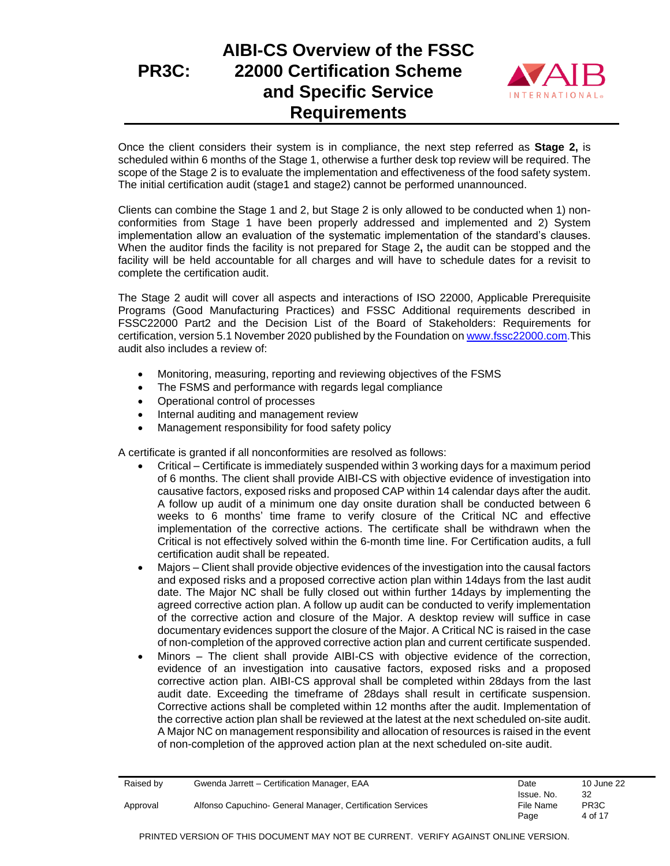# **AIBI-CS Overview of the FSSC 22000 Certification Scheme and Specific Service Requirements**



Once the client considers their system is in compliance, the next step referred as **Stage 2,** is scheduled within 6 months of the Stage 1, otherwise a further desk top review will be required. The scope of the Stage 2 is to evaluate the implementation and effectiveness of the food safety system. The initial certification audit (stage1 and stage2) cannot be performed unannounced.

Clients can combine the Stage 1 and 2, but Stage 2 is only allowed to be conducted when 1) nonconformities from Stage 1 have been properly addressed and implemented and 2) System implementation allow an evaluation of the systematic implementation of the standard's clauses. When the auditor finds the facility is not prepared for Stage 2**,** the audit can be stopped and the facility will be held accountable for all charges and will have to schedule dates for a revisit to complete the certification audit.

The Stage 2 audit will cover all aspects and interactions of ISO 22000, Applicable Prerequisite Programs (Good Manufacturing Practices) and FSSC Additional requirements described in FSSC22000 Part2 and the Decision List of the Board of Stakeholders: Requirements for certification, version 5.1 November 2020 published by the Foundation o[n www.fssc22000.com.](http://www.fssc22000.com/)This audit also includes a review of:

- Monitoring, measuring, reporting and reviewing objectives of the FSMS
- The FSMS and performance with regards legal compliance
- Operational control of processes
- Internal auditing and management review
- Management responsibility for food safety policy

A certificate is granted if all nonconformities are resolved as follows:

- Critical Certificate is immediately suspended within 3 working days for a maximum period of 6 months. The client shall provide AIBI-CS with objective evidence of investigation into causative factors, exposed risks and proposed CAP within 14 calendar days after the audit. A follow up audit of a minimum one day onsite duration shall be conducted between 6 weeks to 6 months' time frame to verify closure of the Critical NC and effective implementation of the corrective actions. The certificate shall be withdrawn when the Critical is not effectively solved within the 6-month time line. For Certification audits, a full certification audit shall be repeated.
- Majors Client shall provide objective evidences of the investigation into the causal factors and exposed risks and a proposed corrective action plan within 14days from the last audit date. The Major NC shall be fully closed out within further 14days by implementing the agreed corrective action plan. A follow up audit can be conducted to verify implementation of the corrective action and closure of the Major. A desktop review will suffice in case documentary evidences support the closure of the Major. A Critical NC is raised in the case of non-completion of the approved corrective action plan and current certificate suspended.
- Minors The client shall provide AIBI-CS with objective evidence of the correction, evidence of an investigation into causative factors, exposed risks and a proposed corrective action plan. AIBI-CS approval shall be completed within 28days from the last audit date. Exceeding the timeframe of 28days shall result in certificate suspension. Corrective actions shall be completed within 12 months after the audit. Implementation of the corrective action plan shall be reviewed at the latest at the next scheduled on-site audit. A Major NC on management responsibility and allocation of resources is raised in the event of non-completion of the approved action plan at the next scheduled on-site audit.

| Raised by | Gwenda Jarrett - Certification Manager, EAA                | Date       | 10 June 22        |
|-----------|------------------------------------------------------------|------------|-------------------|
|           |                                                            | Issue. No. | 32                |
| Approval  | Alfonso Capuchino- General Manager, Certification Services | File Name  | PR <sub>3</sub> C |
|           |                                                            | Page       | 4 of 17           |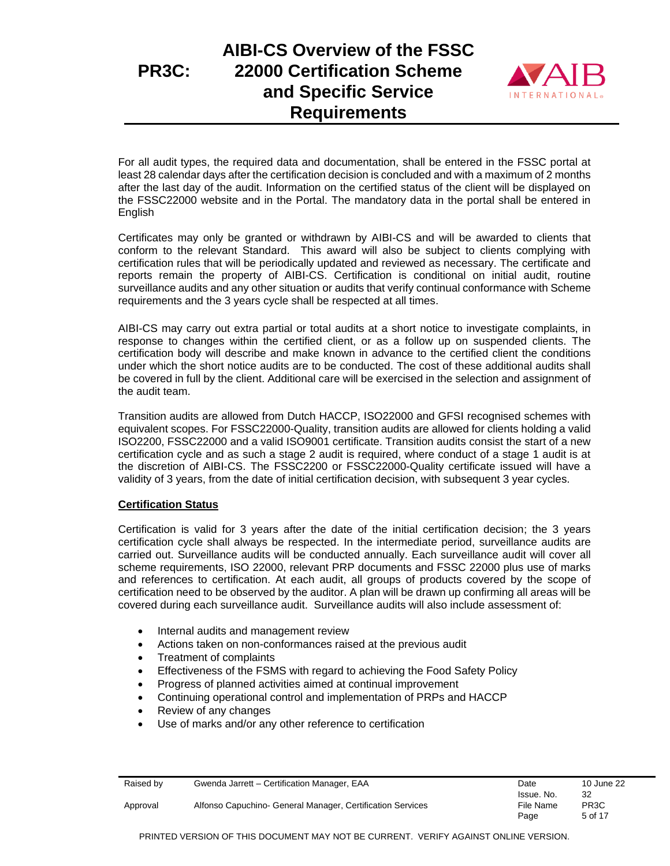# **AIBI-CS Overview of the FSSC 22000 Certification Scheme and Specific Service Requirements**



For all audit types, the required data and documentation, shall be entered in the FSSC portal at least 28 calendar days after the certification decision is concluded and with a maximum of 2 months after the last day of the audit. Information on the certified status of the client will be displayed on the FSSC22000 website and in the Portal. The mandatory data in the portal shall be entered in English

Certificates may only be granted or withdrawn by AIBI-CS and will be awarded to clients that conform to the relevant Standard. This award will also be subject to clients complying with certification rules that will be periodically updated and reviewed as necessary. The certificate and reports remain the property of AIBI-CS. Certification is conditional on initial audit, routine surveillance audits and any other situation or audits that verify continual conformance with Scheme requirements and the 3 years cycle shall be respected at all times.

AIBI-CS may carry out extra partial or total audits at a short notice to investigate complaints, in response to changes within the certified client, or as a follow up on suspended clients. The certification body will describe and make known in advance to the certified client the conditions under which the short notice audits are to be conducted. The cost of these additional audits shall be covered in full by the client. Additional care will be exercised in the selection and assignment of the audit team.

Transition audits are allowed from Dutch HACCP, ISO22000 and GFSI recognised schemes with equivalent scopes. For FSSC22000-Quality, transition audits are allowed for clients holding a valid ISO2200, FSSC22000 and a valid ISO9001 certificate. Transition audits consist the start of a new certification cycle and as such a stage 2 audit is required, where conduct of a stage 1 audit is at the discretion of AIBI-CS. The FSSC2200 or FSSC22000-Quality certificate issued will have a validity of 3 years, from the date of initial certification decision, with subsequent 3 year cycles.

### **Certification Status**

Certification is valid for 3 years after the date of the initial certification decision; the 3 years certification cycle shall always be respected. In the intermediate period, surveillance audits are carried out. Surveillance audits will be conducted annually. Each surveillance audit will cover all scheme requirements, ISO 22000, relevant PRP documents and FSSC 22000 plus use of marks and references to certification. At each audit, all groups of products covered by the scope of certification need to be observed by the auditor. A plan will be drawn up confirming all areas will be covered during each surveillance audit. Surveillance audits will also include assessment of:

- Internal audits and management review
- Actions taken on non-conformances raised at the previous audit
- Treatment of complaints
- Effectiveness of the FSMS with regard to achieving the Food Safety Policy
- Progress of planned activities aimed at continual improvement
- Continuing operational control and implementation of PRPs and HACCP
- Review of any changes
- Use of marks and/or any other reference to certification

| Raised by | Gwenda Jarrett - Certification Manager, EAA                | Date       | 10 June 22        |
|-----------|------------------------------------------------------------|------------|-------------------|
|           |                                                            | Issue. No. | 32                |
| Approval  | Alfonso Capuchino- General Manager, Certification Services | File Name  | PR <sub>3</sub> C |
|           |                                                            | Page       | 5 of 17           |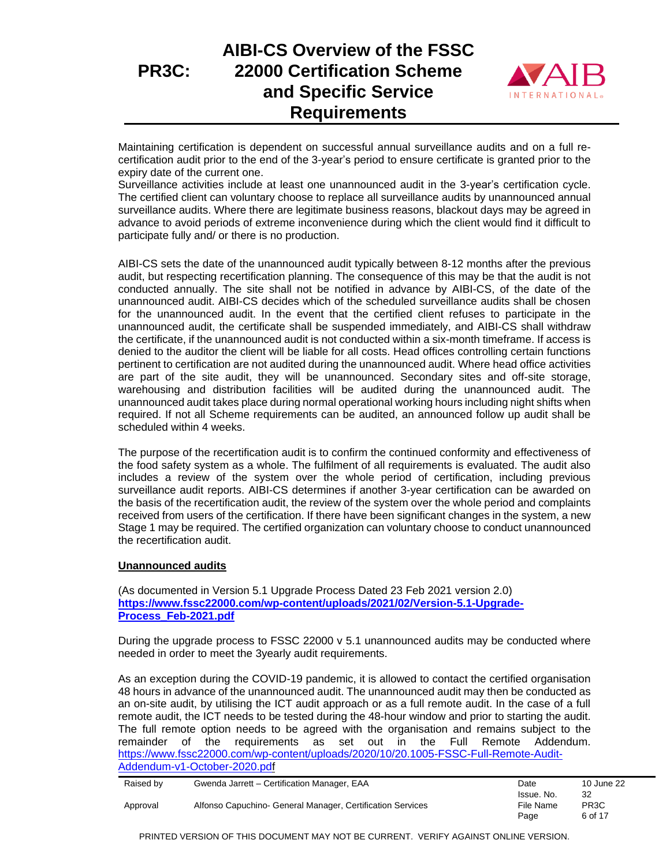# **AIBI-CS Overview of the FSSC 22000 Certification Scheme and Specific Service Requirements**



Maintaining certification is dependent on successful annual surveillance audits and on a full recertification audit prior to the end of the 3-year's period to ensure certificate is granted prior to the expiry date of the current one.

Surveillance activities include at least one unannounced audit in the 3-year's certification cycle. The certified client can voluntary choose to replace all surveillance audits by unannounced annual surveillance audits. Where there are legitimate business reasons, blackout days may be agreed in advance to avoid periods of extreme inconvenience during which the client would find it difficult to participate fully and/ or there is no production.

AIBI-CS sets the date of the unannounced audit typically between 8-12 months after the previous audit, but respecting recertification planning. The consequence of this may be that the audit is not conducted annually. The site shall not be notified in advance by AIBI-CS, of the date of the unannounced audit. AIBI-CS decides which of the scheduled surveillance audits shall be chosen for the unannounced audit. In the event that the certified client refuses to participate in the unannounced audit, the certificate shall be suspended immediately, and AIBI-CS shall withdraw the certificate, if the unannounced audit is not conducted within a six-month timeframe. If access is denied to the auditor the client will be liable for all costs. Head offices controlling certain functions pertinent to certification are not audited during the unannounced audit. Where head office activities are part of the site audit, they will be unannounced. Secondary sites and off-site storage, warehousing and distribution facilities will be audited during the unannounced audit. The unannounced audit takes place during normal operational working hours including night shifts when required. If not all Scheme requirements can be audited, an announced follow up audit shall be scheduled within 4 weeks.

The purpose of the recertification audit is to confirm the continued conformity and effectiveness of the food safety system as a whole. The fulfilment of all requirements is evaluated. The audit also includes a review of the system over the whole period of certification, including previous surveillance audit reports. AIBI-CS determines if another 3-year certification can be awarded on the basis of the recertification audit, the review of the system over the whole period and complaints received from users of the certification. If there have been significant changes in the system, a new Stage 1 may be required. The certified organization can voluntary choose to conduct unannounced the recertification audit.

#### **Unannounced audits**

(As documented in Version 5.1 Upgrade Process Dated 23 Feb 2021 version 2.0) **[https://www.fssc22000.com/wp-content/uploads/2021/02/Version-5.1-Upgrade-](https://www.fssc22000.com/wp-content/uploads/2021/02/Version-5.1-Upgrade-Process_Feb-2021.pdf)[Process\\_Feb-2021.pdf](https://www.fssc22000.com/wp-content/uploads/2021/02/Version-5.1-Upgrade-Process_Feb-2021.pdf)**

During the upgrade process to FSSC 22000 v 5.1 unannounced audits may be conducted where needed in order to meet the 3yearly audit requirements.

As an exception during the COVID-19 pandemic, it is allowed to contact the certified organisation 48 hours in advance of the unannounced audit. The unannounced audit may then be conducted as an on-site audit, by utilising the ICT audit approach or as a full remote audit. In the case of a full remote audit, the ICT needs to be tested during the 48-hour window and prior to starting the audit. The full remote option needs to be agreed with the organisation and remains subject to the remainder of the requirements as set out in the Full Remote Addendum. [https://www.fssc22000.com/wp-content/uploads/2020/10/20.1005-FSSC-Full-Remote-Audit-](https://www.fssc22000.com/wp-content/uploads/2020/10/20.1005-FSSC-Full-Remote-Audit-Addendum-v1-October-2020.pdf)[Addendum-v1-October-2020.pdf](https://www.fssc22000.com/wp-content/uploads/2020/10/20.1005-FSSC-Full-Remote-Audit-Addendum-v1-October-2020.pdf)

|          | Raised by | Gwenda Jarrett - Certification Manager, EAA                | Date       | 10 June 22        |
|----------|-----------|------------------------------------------------------------|------------|-------------------|
|          |           |                                                            | Issue. No. | 32                |
| Approval |           | Alfonso Capuchino- General Manager, Certification Services | File Name  | PR <sub>3</sub> C |
|          |           |                                                            | Page       | 6 of 17           |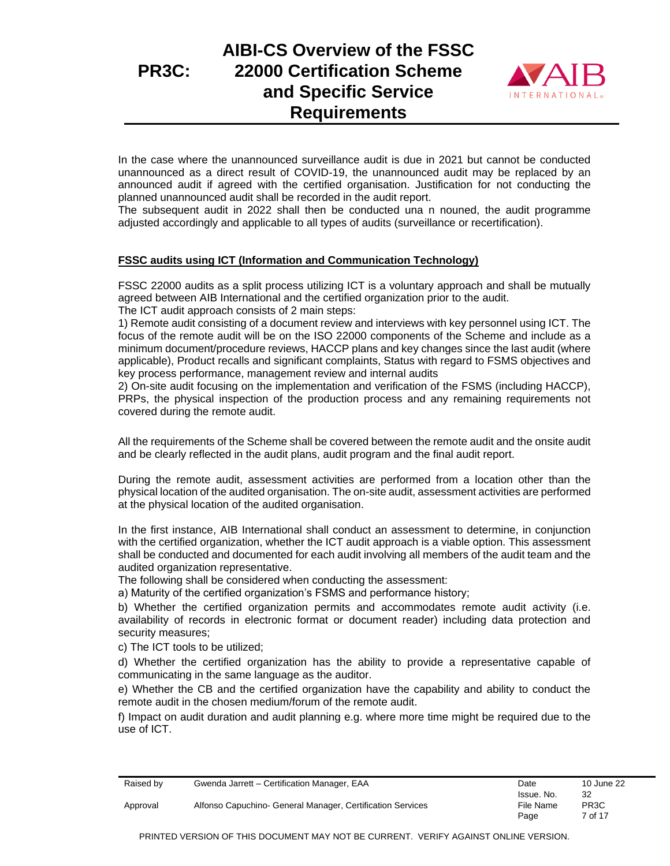## **PR3C: AIBI-CS Overview of the FSSC 22000 Certification Scheme and Specific Service Requirements**



In the case where the unannounced surveillance audit is due in 2021 but cannot be conducted unannounced as a direct result of COVID-19, the unannounced audit may be replaced by an announced audit if agreed with the certified organisation. Justification for not conducting the planned unannounced audit shall be recorded in the audit report.

The subsequent audit in 2022 shall then be conducted una n nouned, the audit programme adjusted accordingly and applicable to all types of audits (surveillance or recertification).

#### **FSSC audits using ICT (Information and Communication Technology)**

FSSC 22000 audits as a split process utilizing ICT is a voluntary approach and shall be mutually agreed between AIB International and the certified organization prior to the audit. The ICT audit approach consists of 2 main steps:

1) Remote audit consisting of a document review and interviews with key personnel using ICT. The focus of the remote audit will be on the ISO 22000 components of the Scheme and include as a minimum document/procedure reviews, HACCP plans and key changes since the last audit (where applicable), Product recalls and significant complaints, Status with regard to FSMS objectives and key process performance, management review and internal audits

2) On-site audit focusing on the implementation and verification of the FSMS (including HACCP), PRPs, the physical inspection of the production process and any remaining requirements not covered during the remote audit.

All the requirements of the Scheme shall be covered between the remote audit and the onsite audit and be clearly reflected in the audit plans, audit program and the final audit report.

During the remote audit, assessment activities are performed from a location other than the physical location of the audited organisation. The on-site audit, assessment activities are performed at the physical location of the audited organisation.

In the first instance, AIB International shall conduct an assessment to determine, in conjunction with the certified organization, whether the ICT audit approach is a viable option. This assessment shall be conducted and documented for each audit involving all members of the audit team and the audited organization representative.

The following shall be considered when conducting the assessment:

a) Maturity of the certified organization's FSMS and performance history;

b) Whether the certified organization permits and accommodates remote audit activity (i.e. availability of records in electronic format or document reader) including data protection and security measures;

c) The ICT tools to be utilized;

d) Whether the certified organization has the ability to provide a representative capable of communicating in the same language as the auditor.

e) Whether the CB and the certified organization have the capability and ability to conduct the remote audit in the chosen medium/forum of the remote audit.

f) Impact on audit duration and audit planning e.g. where more time might be required due to the use of ICT.

| Raised by | Gwenda Jarrett - Certification Manager, EAA                | Date                    | 10 June 22              |
|-----------|------------------------------------------------------------|-------------------------|-------------------------|
| Approval  | Alfonso Capuchino- General Manager, Certification Services | Issue. No.<br>File Name | 32<br>PR <sub>3</sub> C |
|           |                                                            | Page                    | 7 of 17                 |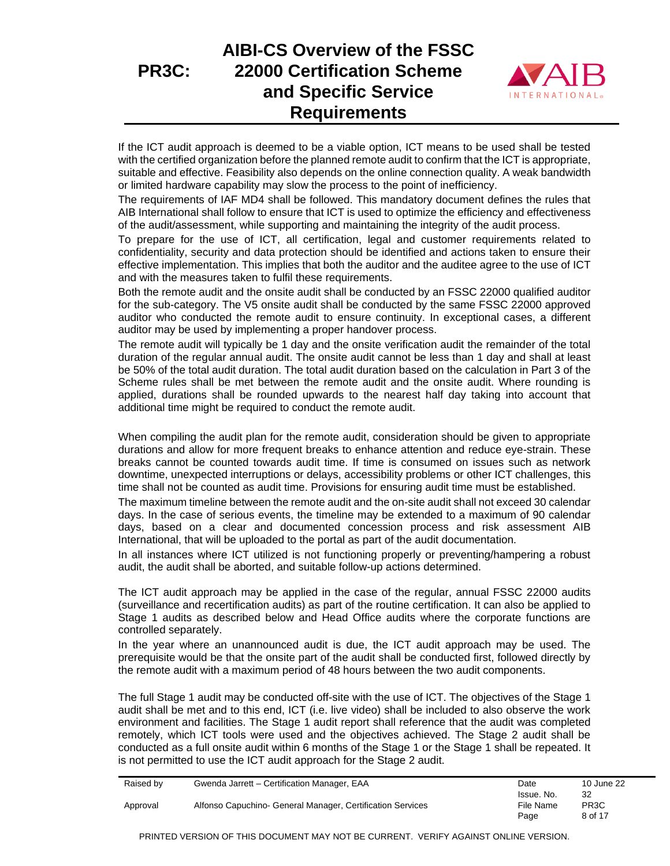

If the ICT audit approach is deemed to be a viable option, ICT means to be used shall be tested with the certified organization before the planned remote audit to confirm that the ICT is appropriate, suitable and effective. Feasibility also depends on the online connection quality. A weak bandwidth or limited hardware capability may slow the process to the point of inefficiency.

The requirements of IAF MD4 shall be followed. This mandatory document defines the rules that AIB International shall follow to ensure that ICT is used to optimize the efficiency and effectiveness of the audit/assessment, while supporting and maintaining the integrity of the audit process.

To prepare for the use of ICT, all certification, legal and customer requirements related to confidentiality, security and data protection should be identified and actions taken to ensure their effective implementation. This implies that both the auditor and the auditee agree to the use of ICT and with the measures taken to fulfil these requirements.

Both the remote audit and the onsite audit shall be conducted by an FSSC 22000 qualified auditor for the sub-category. The V5 onsite audit shall be conducted by the same FSSC 22000 approved auditor who conducted the remote audit to ensure continuity. In exceptional cases, a different auditor may be used by implementing a proper handover process.

The remote audit will typically be 1 day and the onsite verification audit the remainder of the total duration of the regular annual audit. The onsite audit cannot be less than 1 day and shall at least be 50% of the total audit duration. The total audit duration based on the calculation in Part 3 of the Scheme rules shall be met between the remote audit and the onsite audit. Where rounding is applied, durations shall be rounded upwards to the nearest half day taking into account that additional time might be required to conduct the remote audit.

When compiling the audit plan for the remote audit, consideration should be given to appropriate durations and allow for more frequent breaks to enhance attention and reduce eye-strain. These breaks cannot be counted towards audit time. If time is consumed on issues such as network downtime, unexpected interruptions or delays, accessibility problems or other ICT challenges, this time shall not be counted as audit time. Provisions for ensuring audit time must be established.

The maximum timeline between the remote audit and the on-site audit shall not exceed 30 calendar days. In the case of serious events, the timeline may be extended to a maximum of 90 calendar days, based on a clear and documented concession process and risk assessment AIB International, that will be uploaded to the portal as part of the audit documentation.

In all instances where ICT utilized is not functioning properly or preventing/hampering a robust audit, the audit shall be aborted, and suitable follow-up actions determined.

The ICT audit approach may be applied in the case of the regular, annual FSSC 22000 audits (surveillance and recertification audits) as part of the routine certification. It can also be applied to Stage 1 audits as described below and Head Office audits where the corporate functions are controlled separately.

In the year where an unannounced audit is due, the ICT audit approach may be used. The prerequisite would be that the onsite part of the audit shall be conducted first, followed directly by the remote audit with a maximum period of 48 hours between the two audit components.

The full Stage 1 audit may be conducted off-site with the use of ICT. The objectives of the Stage 1 audit shall be met and to this end, ICT (i.e. live video) shall be included to also observe the work environment and facilities. The Stage 1 audit report shall reference that the audit was completed remotely, which ICT tools were used and the objectives achieved. The Stage 2 audit shall be conducted as a full onsite audit within 6 months of the Stage 1 or the Stage 1 shall be repeated. It is not permitted to use the ICT audit approach for the Stage 2 audit.

| Raised by | Gwenda Jarrett - Certification Manager, EAA                | Date       | 10 June 22        |
|-----------|------------------------------------------------------------|------------|-------------------|
|           |                                                            | Issue. No. | 32                |
| Approval  | Alfonso Capuchino- General Manager, Certification Services | File Name  | PR <sub>3</sub> C |
|           |                                                            | Page       | 8 of 17           |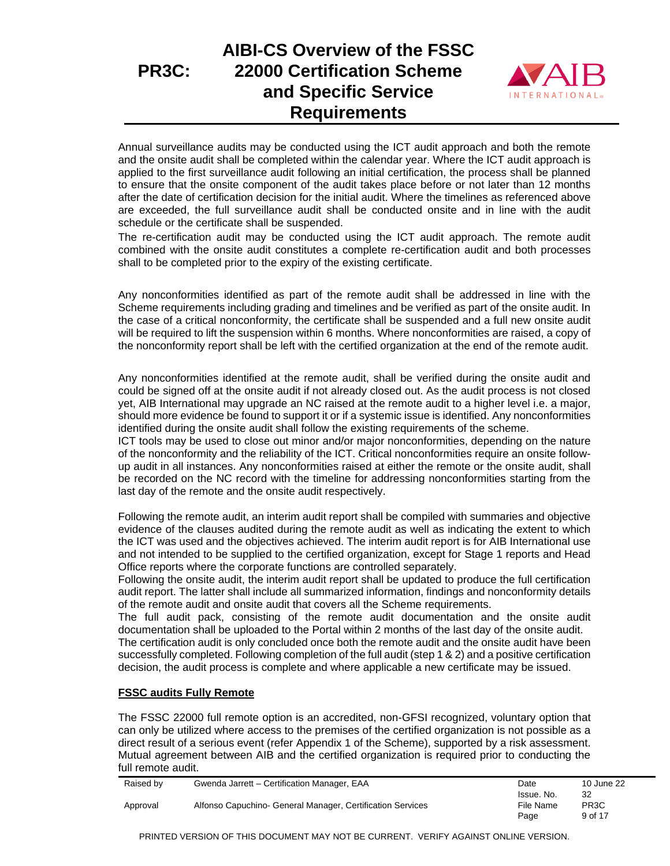# **AIBI-CS Overview of the FSSC 22000 Certification Scheme and Specific Service Requirements**



Annual surveillance audits may be conducted using the ICT audit approach and both the remote and the onsite audit shall be completed within the calendar year. Where the ICT audit approach is applied to the first surveillance audit following an initial certification, the process shall be planned to ensure that the onsite component of the audit takes place before or not later than 12 months after the date of certification decision for the initial audit. Where the timelines as referenced above are exceeded, the full surveillance audit shall be conducted onsite and in line with the audit schedule or the certificate shall be suspended.

The re-certification audit may be conducted using the ICT audit approach. The remote audit combined with the onsite audit constitutes a complete re-certification audit and both processes shall to be completed prior to the expiry of the existing certificate.

Any nonconformities identified as part of the remote audit shall be addressed in line with the Scheme requirements including grading and timelines and be verified as part of the onsite audit. In the case of a critical nonconformity, the certificate shall be suspended and a full new onsite audit will be required to lift the suspension within 6 months. Where nonconformities are raised, a copy of the nonconformity report shall be left with the certified organization at the end of the remote audit.

Any nonconformities identified at the remote audit, shall be verified during the onsite audit and could be signed off at the onsite audit if not already closed out. As the audit process is not closed yet, AIB International may upgrade an NC raised at the remote audit to a higher level i.e. a major, should more evidence be found to support it or if a systemic issue is identified. Any nonconformities identified during the onsite audit shall follow the existing requirements of the scheme.

ICT tools may be used to close out minor and/or major nonconformities, depending on the nature of the nonconformity and the reliability of the ICT. Critical nonconformities require an onsite followup audit in all instances. Any nonconformities raised at either the remote or the onsite audit, shall be recorded on the NC record with the timeline for addressing nonconformities starting from the last day of the remote and the onsite audit respectively.

Following the remote audit, an interim audit report shall be compiled with summaries and objective evidence of the clauses audited during the remote audit as well as indicating the extent to which the ICT was used and the objectives achieved. The interim audit report is for AIB International use and not intended to be supplied to the certified organization, except for Stage 1 reports and Head Office reports where the corporate functions are controlled separately.

Following the onsite audit, the interim audit report shall be updated to produce the full certification audit report. The latter shall include all summarized information, findings and nonconformity details of the remote audit and onsite audit that covers all the Scheme requirements.

The full audit pack, consisting of the remote audit documentation and the onsite audit documentation shall be uploaded to the Portal within 2 months of the last day of the onsite audit.

The certification audit is only concluded once both the remote audit and the onsite audit have been successfully completed. Following completion of the full audit (step 1 & 2) and a positive certification decision, the audit process is complete and where applicable a new certificate may be issued.

### **FSSC audits Fully Remote**

The FSSC 22000 full remote option is an accredited, non-GFSI recognized, voluntary option that can only be utilized where access to the premises of the certified organization is not possible as a direct result of a serious event (refer Appendix 1 of the Scheme), supported by a risk assessment. Mutual agreement between AIB and the certified organization is required prior to conducting the full remote audit.

| Raised by | Gwenda Jarrett - Certification Manager, EAA                | Date       | 10 June 22        |
|-----------|------------------------------------------------------------|------------|-------------------|
|           |                                                            | Issue. No. | 32                |
| Approval  | Alfonso Capuchino- General Manager, Certification Services | File Name  | PR <sub>3</sub> C |
|           |                                                            | Page       | 9 of 17           |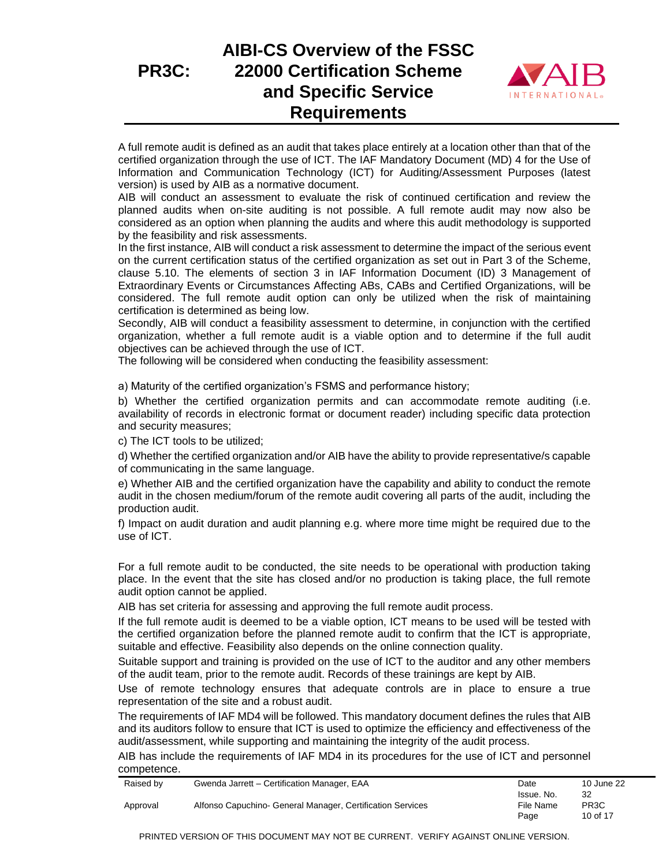

A full remote audit is defined as an audit that takes place entirely at a location other than that of the certified organization through the use of ICT. The IAF Mandatory Document (MD) 4 for the Use of Information and Communication Technology (ICT) for Auditing/Assessment Purposes (latest version) is used by AIB as a normative document.

AIB will conduct an assessment to evaluate the risk of continued certification and review the planned audits when on-site auditing is not possible. A full remote audit may now also be considered as an option when planning the audits and where this audit methodology is supported by the feasibility and risk assessments.

In the first instance, AIB will conduct a risk assessment to determine the impact of the serious event on the current certification status of the certified organization as set out in Part 3 of the Scheme, clause 5.10. The elements of section 3 in IAF Information Document (ID) 3 Management of Extraordinary Events or Circumstances Affecting ABs, CABs and Certified Organizations, will be considered. The full remote audit option can only be utilized when the risk of maintaining certification is determined as being low.

Secondly, AIB will conduct a feasibility assessment to determine, in conjunction with the certified organization, whether a full remote audit is a viable option and to determine if the full audit objectives can be achieved through the use of ICT.

The following will be considered when conducting the feasibility assessment:

a) Maturity of the certified organization's FSMS and performance history;

b) Whether the certified organization permits and can accommodate remote auditing (i.e. availability of records in electronic format or document reader) including specific data protection and security measures;

c) The ICT tools to be utilized;

d) Whether the certified organization and/or AIB have the ability to provide representative/s capable of communicating in the same language.

e) Whether AIB and the certified organization have the capability and ability to conduct the remote audit in the chosen medium/forum of the remote audit covering all parts of the audit, including the production audit.

f) Impact on audit duration and audit planning e.g. where more time might be required due to the use of ICT.

For a full remote audit to be conducted, the site needs to be operational with production taking place. In the event that the site has closed and/or no production is taking place, the full remote audit option cannot be applied.

AIB has set criteria for assessing and approving the full remote audit process.

If the full remote audit is deemed to be a viable option, ICT means to be used will be tested with the certified organization before the planned remote audit to confirm that the ICT is appropriate, suitable and effective. Feasibility also depends on the online connection quality.

Suitable support and training is provided on the use of ICT to the auditor and any other members of the audit team, prior to the remote audit. Records of these trainings are kept by AIB.

Use of remote technology ensures that adequate controls are in place to ensure a true representation of the site and a robust audit.

The requirements of IAF MD4 will be followed. This mandatory document defines the rules that AIB and its auditors follow to ensure that ICT is used to optimize the efficiency and effectiveness of the audit/assessment, while supporting and maintaining the integrity of the audit process.

AIB has include the requirements of IAF MD4 in its procedures for the use of ICT and personnel competence.

| Raised by | Gwenda Jarrett - Certification Manager, EAA                | Date       | 10 June 22        |
|-----------|------------------------------------------------------------|------------|-------------------|
|           |                                                            | Issue. No. |                   |
| Approval  | Alfonso Capuchino- General Manager, Certification Services | File Name  | PR <sub>3</sub> C |
|           |                                                            | Page       | 10 of 17          |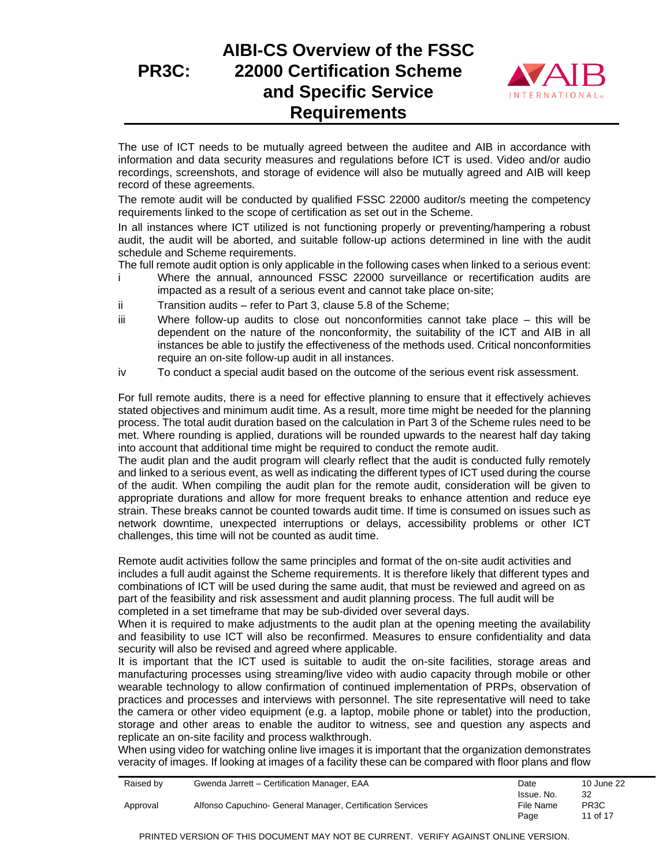

The use of ICT needs to be mutually agreed between the auditee and AIB in accordance with information and data security measures and regulations before ICT is used. Video and/or audio recordings, screenshots, and storage of evidence will also be mutually agreed and AIB will keep record of these agreements.

The remote audit will be conducted by qualified FSSC 22000 auditor/s meeting the competency requirements linked to the scope of certification as set out in the Scheme.

In all instances where ICT utilized is not functioning properly or preventing/hampering a robust audit, the audit will be aborted, and suitable follow-up actions determined in line with the audit schedule and Scheme requirements.

The full remote audit option is only applicable in the following cases when linked to a serious event: i Where the annual, announced FSSC 22000 surveillance or recertification audits are

- impacted as a result of a serious event and cannot take place on-site;
- ii Transition audits refer to Part 3, clause 5.8 of the Scheme;
- iii Where follow-up audits to close out nonconformities cannot take place this will be dependent on the nature of the nonconformity, the suitability of the ICT and AIB in all instances be able to justify the effectiveness of the methods used. Critical nonconformities require an on-site follow-up audit in all instances.
- iv To conduct a special audit based on the outcome of the serious event risk assessment.

For full remote audits, there is a need for effective planning to ensure that it effectively achieves stated objectives and minimum audit time. As a result, more time might be needed for the planning process. The total audit duration based on the calculation in Part 3 of the Scheme rules need to be met. Where rounding is applied, durations will be rounded upwards to the nearest half day taking into account that additional time might be required to conduct the remote audit.

The audit plan and the audit program will clearly reflect that the audit is conducted fully remotely and linked to a serious event, as well as indicating the different types of ICT used during the course of the audit. When compiling the audit plan for the remote audit, consideration will be given to appropriate durations and allow for more frequent breaks to enhance attention and reduce eye strain. These breaks cannot be counted towards audit time. If time is consumed on issues such as network downtime, unexpected interruptions or delays, accessibility problems or other ICT challenges, this time will not be counted as audit time.

Remote audit activities follow the same principles and format of the on-site audit activities and includes a full audit against the Scheme requirements. It is therefore likely that different types and combinations of ICT will be used during the same audit, that must be reviewed and agreed on as part of the feasibility and risk assessment and audit planning process. The full audit will be completed in a set timeframe that may be sub-divided over several days.

When it is required to make adjustments to the audit plan at the opening meeting the availability and feasibility to use ICT will also be reconfirmed. Measures to ensure confidentiality and data security will also be revised and agreed where applicable.

It is important that the ICT used is suitable to audit the on-site facilities, storage areas and manufacturing processes using streaming/live video with audio capacity through mobile or other wearable technology to allow confirmation of continued implementation of PRPs, observation of practices and processes and interviews with personnel. The site representative will need to take the camera or other video equipment (e.g. a laptop, mobile phone or tablet) into the production, storage and other areas to enable the auditor to witness, see and question any aspects and replicate an on-site facility and process walkthrough.

When using video for watching online live images it is important that the organization demonstrates veracity of images. If looking at images of a facility these can be compared with floor plans and flow

|            | 10 June 22        |
|------------|-------------------|
| Issue. No. | 32                |
| File Name  | PR <sub>3</sub> C |
| Page       | 11 of 17          |
|            | Date              |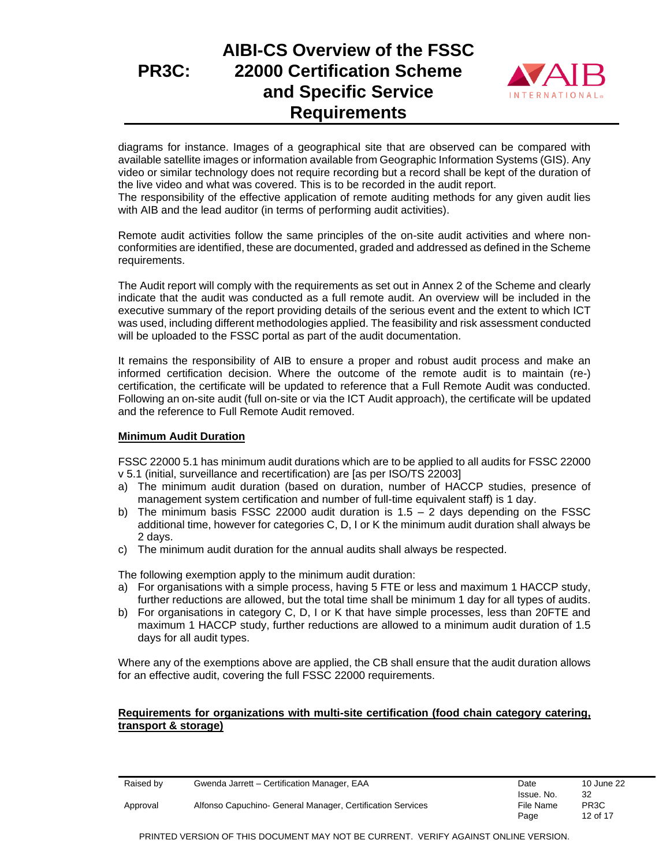# **AIBI-CS Overview of the FSSC 22000 Certification Scheme and Specific Service Requirements**



diagrams for instance. Images of a geographical site that are observed can be compared with available satellite images or information available from Geographic Information Systems (GIS). Any video or similar technology does not require recording but a record shall be kept of the duration of the live video and what was covered. This is to be recorded in the audit report.

The responsibility of the effective application of remote auditing methods for any given audit lies with AIB and the lead auditor (in terms of performing audit activities).

Remote audit activities follow the same principles of the on-site audit activities and where nonconformities are identified, these are documented, graded and addressed as defined in the Scheme requirements.

The Audit report will comply with the requirements as set out in Annex 2 of the Scheme and clearly indicate that the audit was conducted as a full remote audit. An overview will be included in the executive summary of the report providing details of the serious event and the extent to which ICT was used, including different methodologies applied. The feasibility and risk assessment conducted will be uploaded to the FSSC portal as part of the audit documentation.

It remains the responsibility of AIB to ensure a proper and robust audit process and make an informed certification decision. Where the outcome of the remote audit is to maintain (re-) certification, the certificate will be updated to reference that a Full Remote Audit was conducted. Following an on-site audit (full on-site or via the ICT Audit approach), the certificate will be updated and the reference to Full Remote Audit removed.

#### **Minimum Audit Duration**

FSSC 22000 5.1 has minimum audit durations which are to be applied to all audits for FSSC 22000 v 5.1 (initial, surveillance and recertification) are [as per ISO/TS 22003]

- a) The minimum audit duration (based on duration, number of HACCP studies, presence of management system certification and number of full-time equivalent staff) is 1 day.
- b) The minimum basis FSSC 22000 audit duration is  $1.5 2$  days depending on the FSSC additional time, however for categories C, D, I or K the minimum audit duration shall always be 2 days.
- c) The minimum audit duration for the annual audits shall always be respected.

The following exemption apply to the minimum audit duration:

- a) For organisations with a simple process, having 5 FTE or less and maximum 1 HACCP study, further reductions are allowed, but the total time shall be minimum 1 day for all types of audits.
- b) For organisations in category C, D, I or K that have simple processes, less than 20FTE and maximum 1 HACCP study, further reductions are allowed to a minimum audit duration of 1.5 days for all audit types.

Where any of the exemptions above are applied, the CB shall ensure that the audit duration allows for an effective audit, covering the full FSSC 22000 requirements.

#### **Requirements for organizations with multi-site certification (food chain category catering, transport & storage)**

| Raised by | Gwenda Jarrett - Certification Manager, EAA                | Date       | 10 June 22        |
|-----------|------------------------------------------------------------|------------|-------------------|
|           |                                                            | Issue. No. | 32                |
| Approval  | Alfonso Capuchino- General Manager, Certification Services | File Name  | PR <sub>3</sub> C |
|           |                                                            | Page       | 12 of 17          |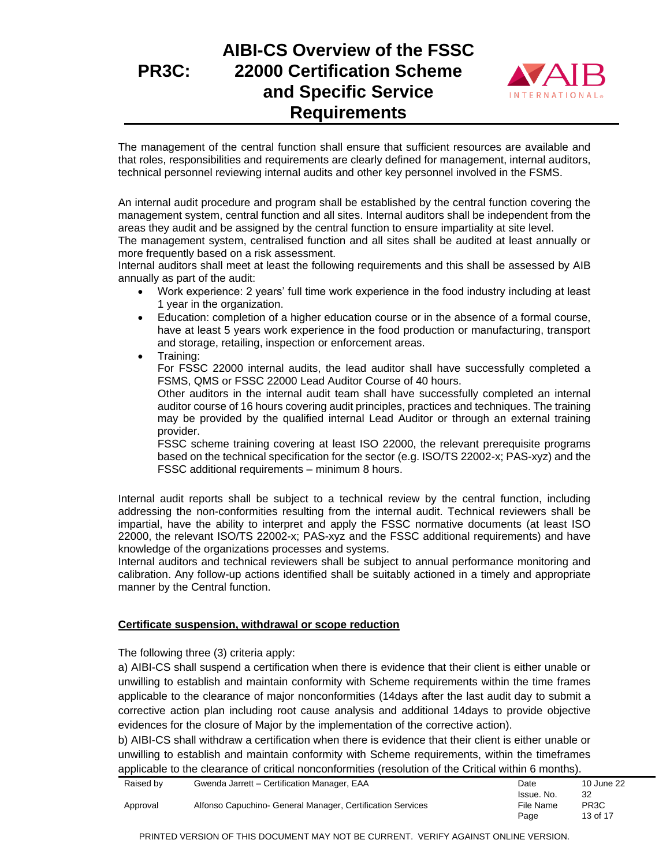

The management of the central function shall ensure that sufficient resources are available and that roles, responsibilities and requirements are clearly defined for management, internal auditors, technical personnel reviewing internal audits and other key personnel involved in the FSMS.

An internal audit procedure and program shall be established by the central function covering the management system, central function and all sites. Internal auditors shall be independent from the areas they audit and be assigned by the central function to ensure impartiality at site level.

The management system, centralised function and all sites shall be audited at least annually or more frequently based on a risk assessment.

Internal auditors shall meet at least the following requirements and this shall be assessed by AIB annually as part of the audit:

- Work experience: 2 years' full time work experience in the food industry including at least 1 year in the organization.
- Education: completion of a higher education course or in the absence of a formal course, have at least 5 years work experience in the food production or manufacturing, transport and storage, retailing, inspection or enforcement areas.
- Training:

For FSSC 22000 internal audits, the lead auditor shall have successfully completed a FSMS, QMS or FSSC 22000 Lead Auditor Course of 40 hours.

Other auditors in the internal audit team shall have successfully completed an internal auditor course of 16 hours covering audit principles, practices and techniques. The training may be provided by the qualified internal Lead Auditor or through an external training provider.

FSSC scheme training covering at least ISO 22000, the relevant prerequisite programs based on the technical specification for the sector (e.g. ISO/TS 22002-x; PAS-xyz) and the FSSC additional requirements – minimum 8 hours.

Internal audit reports shall be subject to a technical review by the central function, including addressing the non-conformities resulting from the internal audit. Technical reviewers shall be impartial, have the ability to interpret and apply the FSSC normative documents (at least ISO 22000, the relevant ISO/TS 22002-x; PAS-xyz and the FSSC additional requirements) and have knowledge of the organizations processes and systems.

Internal auditors and technical reviewers shall be subject to annual performance monitoring and calibration. Any follow-up actions identified shall be suitably actioned in a timely and appropriate manner by the Central function.

#### **Certificate suspension, withdrawal or scope reduction**

The following three (3) criteria apply:

a) AIBI-CS shall suspend a certification when there is evidence that their client is either unable or unwilling to establish and maintain conformity with Scheme requirements within the time frames applicable to the clearance of major nonconformities (14days after the last audit day to submit a corrective action plan including root cause analysis and additional 14days to provide objective evidences for the closure of Major by the implementation of the corrective action).

b) AIBI-CS shall withdraw a certification when there is evidence that their client is either unable or unwilling to establish and maintain conformity with Scheme requirements, within the timeframes applicable to the clearance of critical nonconformities (resolution of the Critical within 6 months).

| Raised by | Gwenda Jarrett - Certification Manager, EAA                | Date       | 10 June 22        |
|-----------|------------------------------------------------------------|------------|-------------------|
|           |                                                            | Issue. No. | 32                |
| Approval  | Alfonso Capuchino- General Manager, Certification Services | File Name  | PR <sub>3</sub> C |
|           |                                                            | Page       | 13 of 17          |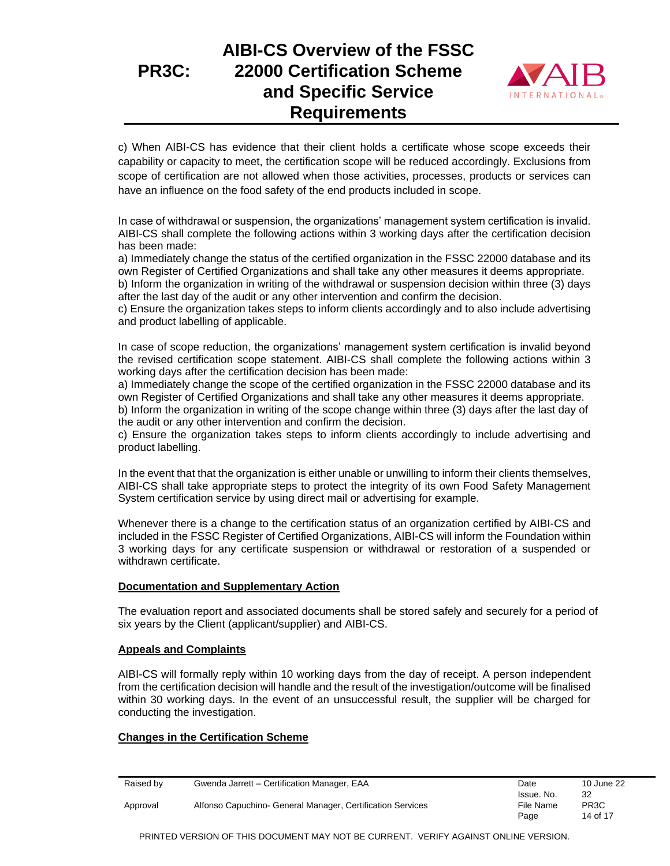# **AIBI-CS Overview of the FSSC 22000 Certification Scheme and Specific Service Requirements**



c) When AIBI-CS has evidence that their client holds a certificate whose scope exceeds their capability or capacity to meet, the certification scope will be reduced accordingly. Exclusions from scope of certification are not allowed when those activities, processes, products or services can have an influence on the food safety of the end products included in scope.

In case of withdrawal or suspension, the organizations' management system certification is invalid. AIBI-CS shall complete the following actions within 3 working days after the certification decision has been made:

a) Immediately change the status of the certified organization in the FSSC 22000 database and its own Register of Certified Organizations and shall take any other measures it deems appropriate.

b) Inform the organization in writing of the withdrawal or suspension decision within three (3) days after the last day of the audit or any other intervention and confirm the decision.

c) Ensure the organization takes steps to inform clients accordingly and to also include advertising and product labelling of applicable.

In case of scope reduction, the organizations' management system certification is invalid beyond the revised certification scope statement. AIBI-CS shall complete the following actions within 3 working days after the certification decision has been made:

a) Immediately change the scope of the certified organization in the FSSC 22000 database and its own Register of Certified Organizations and shall take any other measures it deems appropriate.

b) Inform the organization in writing of the scope change within three (3) days after the last day of the audit or any other intervention and confirm the decision.

c) Ensure the organization takes steps to inform clients accordingly to include advertising and product labelling.

In the event that that the organization is either unable or unwilling to inform their clients themselves, AIBI-CS shall take appropriate steps to protect the integrity of its own Food Safety Management System certification service by using direct mail or advertising for example.

Whenever there is a change to the certification status of an organization certified by AIBI-CS and included in the FSSC Register of Certified Organizations, AIBI-CS will inform the Foundation within 3 working days for any certificate suspension or withdrawal or restoration of a suspended or withdrawn certificate.

#### **Documentation and Supplementary Action**

The evaluation report and associated documents shall be stored safely and securely for a period of six years by the Client (applicant/supplier) and AIBI-CS.

#### **Appeals and Complaints**

AIBI-CS will formally reply within 10 working days from the day of receipt. A person independent from the certification decision will handle and the result of the investigation/outcome will be finalised within 30 working days. In the event of an unsuccessful result, the supplier will be charged for conducting the investigation.

### **Changes in the Certification Scheme**

| Raised by | Gwenda Jarrett - Certification Manager, EAA                | Date                            | 10 June 22                          |
|-----------|------------------------------------------------------------|---------------------------------|-------------------------------------|
| Approval  | Alfonso Capuchino- General Manager, Certification Services | Issue. No.<br>File Name<br>Page | 32<br>PR <sub>3</sub> C<br>14 of 17 |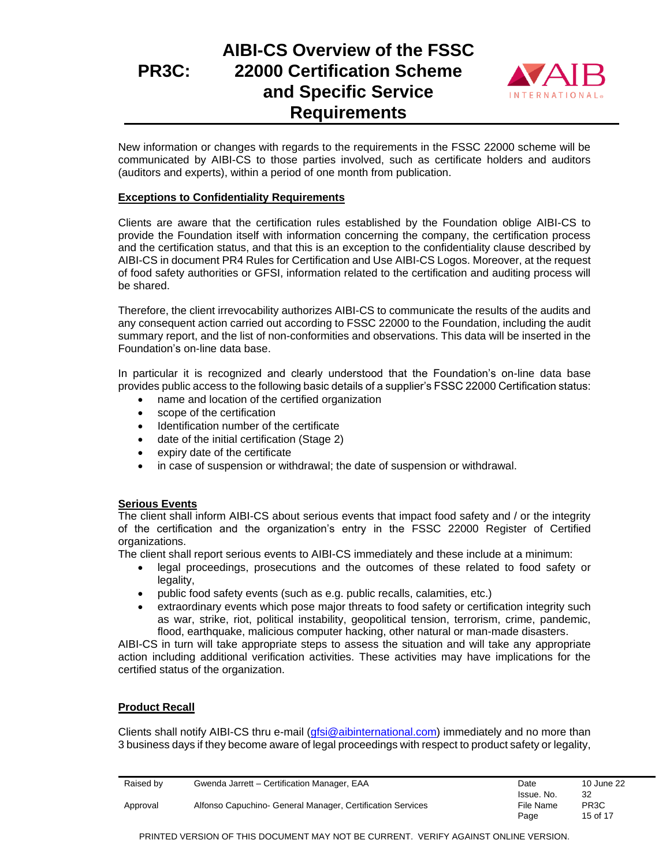# **AIBI-CS Overview of the FSSC 22000 Certification Scheme and Specific Service Requirements**



New information or changes with regards to the requirements in the FSSC 22000 scheme will be communicated by AIBI-CS to those parties involved, such as certificate holders and auditors (auditors and experts), within a period of one month from publication.

### **Exceptions to Confidentiality Requirements**

Clients are aware that the certification rules established by the Foundation oblige AIBI-CS to provide the Foundation itself with information concerning the company, the certification process and the certification status, and that this is an exception to the confidentiality clause described by AIBI-CS in document PR4 Rules for Certification and Use AIBI-CS Logos. Moreover, at the request of food safety authorities or GFSI, information related to the certification and auditing process will be shared.

Therefore, the client irrevocability authorizes AIBI-CS to communicate the results of the audits and any consequent action carried out according to FSSC 22000 to the Foundation, including the audit summary report, and the list of non-conformities and observations. This data will be inserted in the Foundation's on-line data base.

In particular it is recognized and clearly understood that the Foundation's on-line data base provides public access to the following basic details of a supplier's FSSC 22000 Certification status:

- name and location of the certified organization
- scope of the certification
- Identification number of the certificate
- date of the initial certification (Stage 2)
- expiry date of the certificate
- in case of suspension or withdrawal; the date of suspension or withdrawal.

#### **Serious Events**

The client shall inform AIBI-CS about serious events that impact food safety and / or the integrity of the certification and the organization's entry in the FSSC 22000 Register of Certified organizations.

The client shall report serious events to AIBI-CS immediately and these include at a minimum:

- legal proceedings, prosecutions and the outcomes of these related to food safety or legality,
- public food safety events (such as e.g. public recalls, calamities, etc.)
- extraordinary events which pose major threats to food safety or certification integrity such as war, strike, riot, political instability, geopolitical tension, terrorism, crime, pandemic, flood, earthquake, malicious computer hacking, other natural or man-made disasters.

AIBI-CS in turn will take appropriate steps to assess the situation and will take any appropriate action including additional verification activities. These activities may have implications for the certified status of the organization.

### **Product Recall**

Clients shall notify AIBI-CS thru e-mail [\(gfsi@aibinternational.com\)](mailto:gfsi@aibinternational.com) immediately and no more than 3 business days if they become aware of legal proceedings with respect to product safety or legality,

| Raised by | Gwenda Jarrett - Certification Manager, EAA                | Date       | 10 June 22        |
|-----------|------------------------------------------------------------|------------|-------------------|
|           |                                                            | Issue. No. | 32                |
| Approval  | Alfonso Capuchino- General Manager, Certification Services | File Name  | PR <sub>3</sub> C |
|           |                                                            | Page       | 15 of 17          |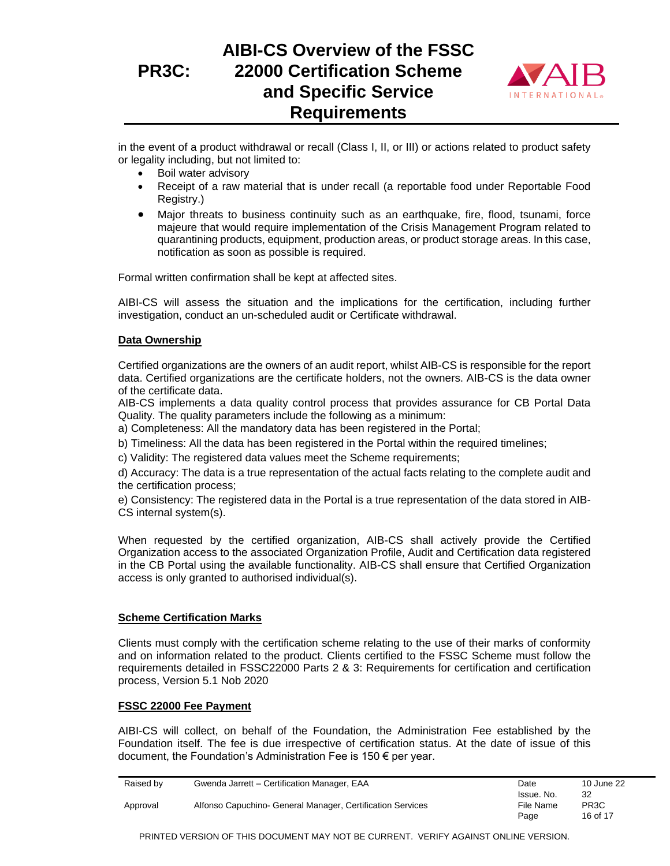

in the event of a product withdrawal or recall (Class I, II, or III) or actions related to product safety or legality including, but not limited to:

- Boil water advisory
- Receipt of a raw material that is under recall (a reportable food under Reportable Food Registry.)
- Major threats to business continuity such as an earthquake, fire, flood, tsunami, force majeure that would require implementation of the Crisis Management Program related to quarantining products, equipment, production areas, or product storage areas. In this case, notification as soon as possible is required.

Formal written confirmation shall be kept at affected sites.

AIBI-CS will assess the situation and the implications for the certification, including further investigation, conduct an un-scheduled audit or Certificate withdrawal.

### **Data Ownership**

Certified organizations are the owners of an audit report, whilst AIB-CS is responsible for the report data. Certified organizations are the certificate holders, not the owners. AIB-CS is the data owner of the certificate data.

AIB-CS implements a data quality control process that provides assurance for CB Portal Data Quality. The quality parameters include the following as a minimum:

a) Completeness: All the mandatory data has been registered in the Portal;

b) Timeliness: All the data has been registered in the Portal within the required timelines;

c) Validity: The registered data values meet the Scheme requirements;

d) Accuracy: The data is a true representation of the actual facts relating to the complete audit and the certification process;

e) Consistency: The registered data in the Portal is a true representation of the data stored in AIB-CS internal system(s).

When requested by the certified organization, AIB-CS shall actively provide the Certified Organization access to the associated Organization Profile, Audit and Certification data registered in the CB Portal using the available functionality. AIB-CS shall ensure that Certified Organization access is only granted to authorised individual(s).

#### **Scheme Certification Marks**

Clients must comply with the certification scheme relating to the use of their marks of conformity and on information related to the product. Clients certified to the FSSC Scheme must follow the requirements detailed in FSSC22000 Parts 2 & 3: Requirements for certification and certification process, Version 5.1 Nob 2020

#### **FSSC 22000 Fee Payment**

AIBI-CS will collect, on behalf of the Foundation, the Administration Fee established by the Foundation itself. The fee is due irrespective of certification status. At the date of issue of this document, the Foundation's Administration Fee is 150 € per year.

| Raised by | Gwenda Jarrett - Certification Manager, EAA                | Date       | 10 June 22        |
|-----------|------------------------------------------------------------|------------|-------------------|
|           |                                                            | Issue. No. | 32                |
| Approval  | Alfonso Capuchino- General Manager, Certification Services | File Name  | PR <sub>3</sub> C |
|           |                                                            | Page       | 16 of 17          |